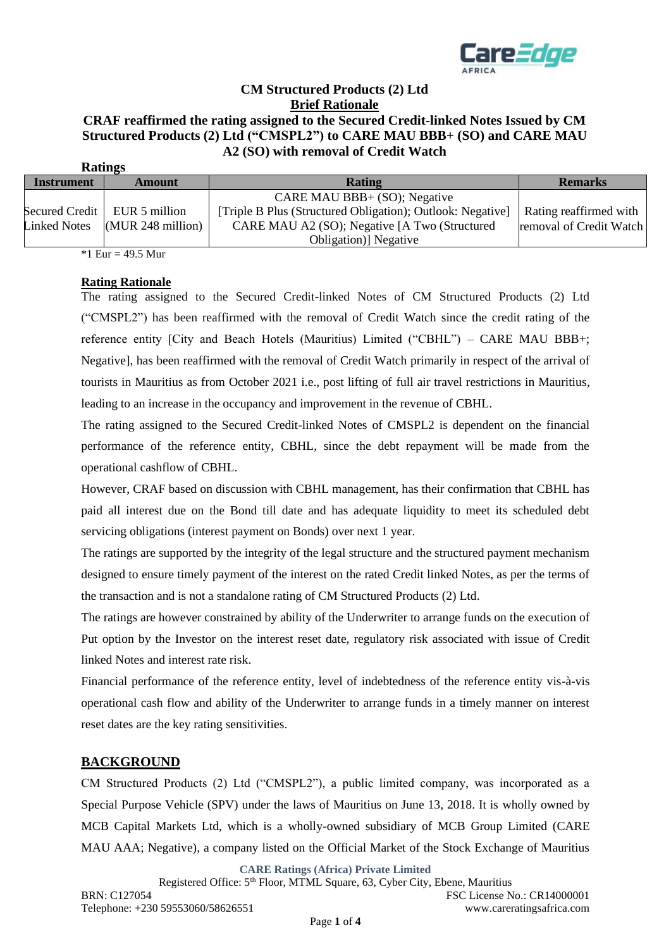

## **CM Structured Products (2) Ltd Brief Rationale CRAF reaffirmed the rating assigned to the Secured Credit-linked Notes Issued by CM**

# **Structured Products (2) Ltd ("CMSPL2") to CARE MAU BBB+ (SO) and CARE MAU A2 (SO) with removal of Credit Watch**

| <b>Ratings</b> |                     |                                |                                                            |                         |
|----------------|---------------------|--------------------------------|------------------------------------------------------------|-------------------------|
|                | <b>Instrument</b>   | <b>Amount</b>                  | <b>Rating</b>                                              | <b>Remarks</b>          |
|                |                     |                                | CARE MAU BBB+ (SO); Negative                               |                         |
|                |                     | Secured Credit   EUR 5 million | [Triple B Plus (Structured Obligation); Outlook: Negative] | Rating reaffirmed with  |
|                | <b>Linked Notes</b> | $(MUR 248$ million)            | CARE MAU A2 (SO); Negative [A Two (Structured              | removal of Credit Watch |
|                |                     |                                | Obligation)] Negative                                      |                         |

\*1 Eur =  $49.5$  Mur

#### **Rating Rationale**

The rating assigned to the Secured Credit-linked Notes of CM Structured Products (2) Ltd ("CMSPL2") has been reaffirmed with the removal of Credit Watch since the credit rating of the reference entity [City and Beach Hotels (Mauritius) Limited ("CBHL") – CARE MAU BBB+; Negative], has been reaffirmed with the removal of Credit Watch primarily in respect of the arrival of tourists in Mauritius as from October 2021 i.e., post lifting of full air travel restrictions in Mauritius, leading to an increase in the occupancy and improvement in the revenue of CBHL.

The rating assigned to the Secured Credit-linked Notes of CMSPL2 is dependent on the financial performance of the reference entity, CBHL, since the debt repayment will be made from the operational cashflow of CBHL.

However, CRAF based on discussion with CBHL management, has their confirmation that CBHL has paid all interest due on the Bond till date and has adequate liquidity to meet its scheduled debt servicing obligations (interest payment on Bonds) over next 1 year.

The ratings are supported by the integrity of the legal structure and the structured payment mechanism designed to ensure timely payment of the interest on the rated Credit linked Notes, as per the terms of the transaction and is not a standalone rating of CM Structured Products (2) Ltd.

The ratings are however constrained by ability of the Underwriter to arrange funds on the execution of Put option by the Investor on the interest reset date, regulatory risk associated with issue of Credit linked Notes and interest rate risk.

Financial performance of the reference entity, level of indebtedness of the reference entity vis-à-vis operational cash flow and ability of the Underwriter to arrange funds in a timely manner on interest reset dates are the key rating sensitivities.

#### **BACKGROUND**

CM Structured Products (2) Ltd ("CMSPL2"), a public limited company, was incorporated as a Special Purpose Vehicle (SPV) under the laws of Mauritius on June 13, 2018. It is wholly owned by MCB Capital Markets Ltd, which is a wholly-owned subsidiary of MCB Group Limited (CARE MAU AAA; Negative), a company listed on the Official Market of the Stock Exchange of Mauritius

**CARE Ratings (Africa) Private Limited**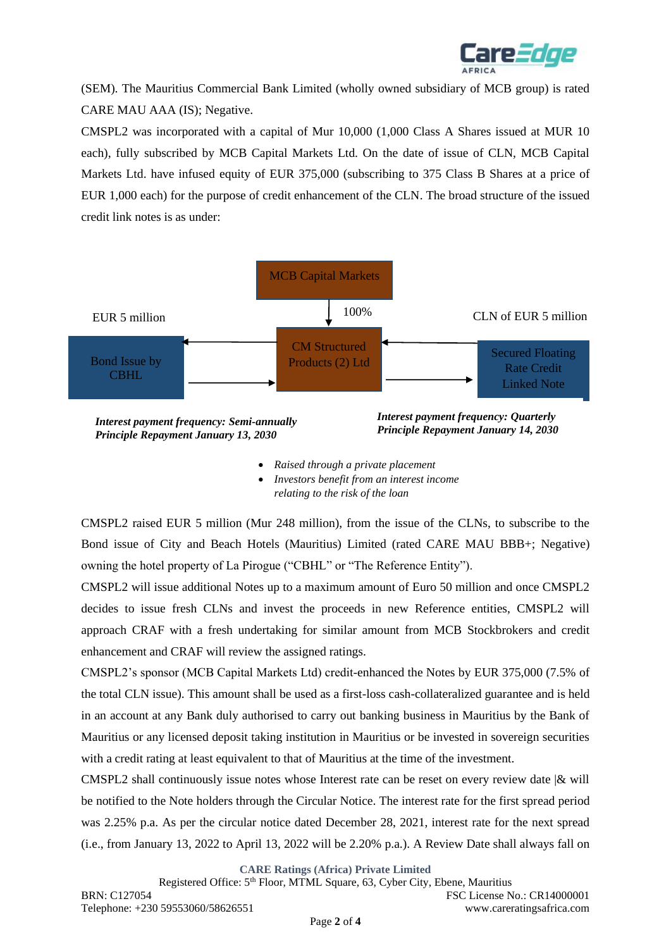

(SEM). The Mauritius Commercial Bank Limited (wholly owned subsidiary of MCB group) is rated CARE MAU AAA (IS); Negative.

CMSPL2 was incorporated with a capital of Mur 10,000 (1,000 Class A Shares issued at MUR 10 each), fully subscribed by MCB Capital Markets Ltd. On the date of issue of CLN, MCB Capital Markets Ltd. have infused equity of EUR 375,000 (subscribing to 375 Class B Shares at a price of EUR 1,000 each) for the purpose of credit enhancement of the CLN. The broad structure of the issued credit link notes is as under:



- *Raised through a private placement*
- *Investors benefit from an interest income relating to the risk of the loan*

CMSPL2 raised EUR 5 million (Mur 248 million), from the issue of the CLNs, to subscribe to the Bond issue of City and Beach Hotels (Mauritius) Limited (rated CARE MAU BBB+; Negative) owning the hotel property of La Pirogue ("CBHL" or "The Reference Entity").

CMSPL2 will issue additional Notes up to a maximum amount of Euro 50 million and once CMSPL2 decides to issue fresh CLNs and invest the proceeds in new Reference entities, CMSPL2 will approach CRAF with a fresh undertaking for similar amount from MCB Stockbrokers and credit enhancement and CRAF will review the assigned ratings.

CMSPL2's sponsor (MCB Capital Markets Ltd) credit-enhanced the Notes by EUR 375,000 (7.5% of the total CLN issue). This amount shall be used as a first-loss cash-collateralized guarantee and is held in an account at any Bank duly authorised to carry out banking business in Mauritius by the Bank of Mauritius or any licensed deposit taking institution in Mauritius or be invested in sovereign securities with a credit rating at least equivalent to that of Mauritius at the time of the investment.

CMSPL2 shall continuously issue notes whose Interest rate can be reset on every review date |& will be notified to the Note holders through the Circular Notice. The interest rate for the first spread period was 2.25% p.a. As per the circular notice dated December 28, 2021, interest rate for the next spread (i.e., from January 13, 2022 to April 13, 2022 will be 2.20% p.a.). A Review Date shall always fall on

**CARE Ratings (Africa) Private Limited**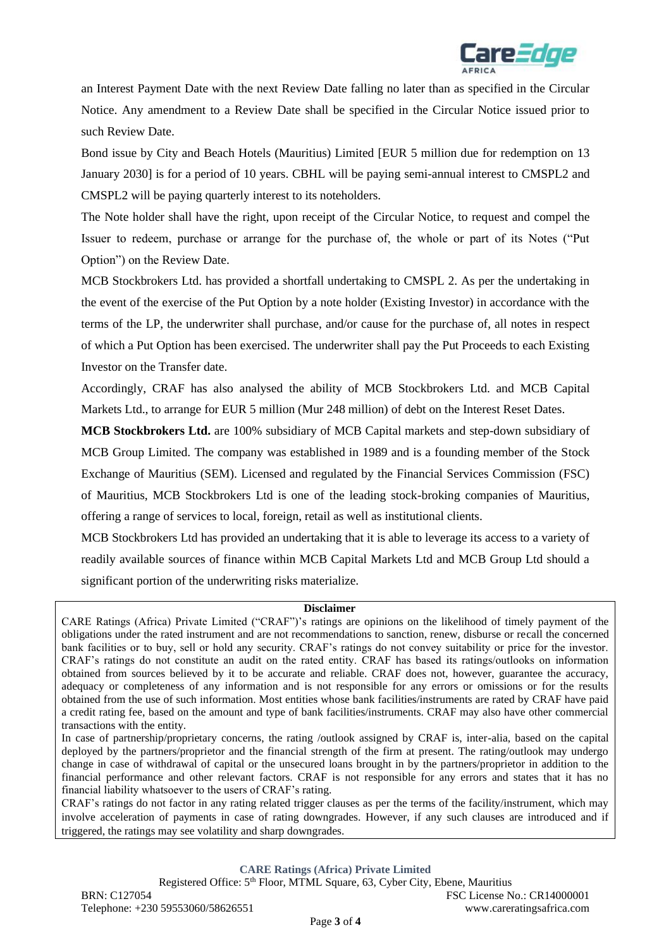

an Interest Payment Date with the next Review Date falling no later than as specified in the Circular Notice. Any amendment to a Review Date shall be specified in the Circular Notice issued prior to such Review Date.

Bond issue by City and Beach Hotels (Mauritius) Limited [EUR 5 million due for redemption on 13 January 2030] is for a period of 10 years. CBHL will be paying semi-annual interest to CMSPL2 and CMSPL2 will be paying quarterly interest to its noteholders.

The Note holder shall have the right, upon receipt of the Circular Notice, to request and compel the Issuer to redeem, purchase or arrange for the purchase of, the whole or part of its Notes ("Put Option") on the Review Date.

MCB Stockbrokers Ltd. has provided a shortfall undertaking to CMSPL 2. As per the undertaking in the event of the exercise of the Put Option by a note holder (Existing Investor) in accordance with the terms of the LP, the underwriter shall purchase, and/or cause for the purchase of, all notes in respect of which a Put Option has been exercised. The underwriter shall pay the Put Proceeds to each Existing Investor on the Transfer date.

Accordingly, CRAF has also analysed the ability of MCB Stockbrokers Ltd. and MCB Capital Markets Ltd., to arrange for EUR 5 million (Mur 248 million) of debt on the Interest Reset Dates.

**MCB Stockbrokers Ltd.** are 100% subsidiary of MCB Capital markets and step-down subsidiary of MCB Group Limited. The company was established in 1989 and is a founding member of the Stock Exchange of Mauritius (SEM). Licensed and regulated by the Financial Services Commission (FSC) of Mauritius, MCB Stockbrokers Ltd is one of the leading stock-broking companies of Mauritius, offering a range of services to local, foreign, retail as well as institutional clients.

MCB Stockbrokers Ltd has provided an undertaking that it is able to leverage its access to a variety of readily available sources of finance within MCB Capital Markets Ltd and MCB Group Ltd should a significant portion of the underwriting risks materialize.

#### **Disclaimer**

CARE Ratings (Africa) Private Limited ("CRAF")'s ratings are opinions on the likelihood of timely payment of the obligations under the rated instrument and are not recommendations to sanction, renew, disburse or recall the concerned bank facilities or to buy, sell or hold any security. CRAF's ratings do not convey suitability or price for the investor. CRAF's ratings do not constitute an audit on the rated entity. CRAF has based its ratings/outlooks on information obtained from sources believed by it to be accurate and reliable. CRAF does not, however, guarantee the accuracy, adequacy or completeness of any information and is not responsible for any errors or omissions or for the results obtained from the use of such information. Most entities whose bank facilities/instruments are rated by CRAF have paid a credit rating fee, based on the amount and type of bank facilities/instruments. CRAF may also have other commercial transactions with the entity.

In case of partnership/proprietary concerns, the rating /outlook assigned by CRAF is, inter-alia, based on the capital deployed by the partners/proprietor and the financial strength of the firm at present. The rating/outlook may undergo change in case of withdrawal of capital or the unsecured loans brought in by the partners/proprietor in addition to the financial performance and other relevant factors. CRAF is not responsible for any errors and states that it has no financial liability whatsoever to the users of CRAF's rating.

CRAF's ratings do not factor in any rating related trigger clauses as per the terms of the facility/instrument, which may involve acceleration of payments in case of rating downgrades. However, if any such clauses are introduced and if triggered, the ratings may see volatility and sharp downgrades.